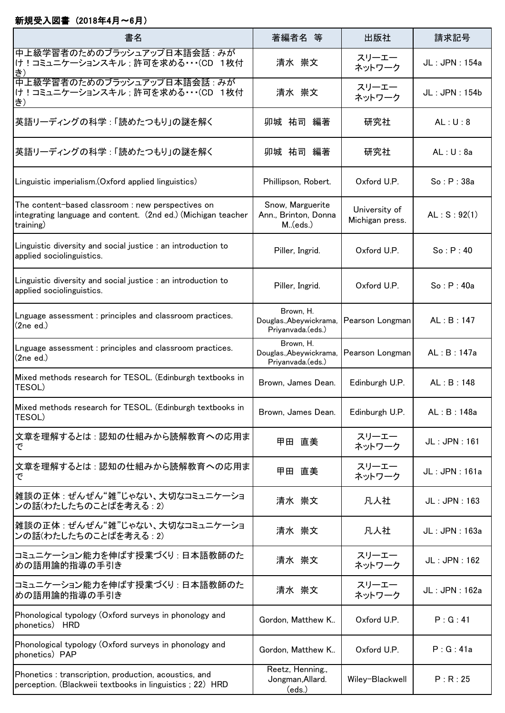## 新規受入図書 (2018年4月~6月)

| 書名                                                                                                                              | 著編者名 等                                                    | 出版社                              | 請求記号          |
|---------------------------------------------------------------------------------------------------------------------------------|-----------------------------------------------------------|----------------------------------|---------------|
| 中上級学習者のためのブラッシュアップ日本語会話 : みが<br> け!コミュニケーションスキル;許可を求める・・・(CD 1枚付<br>き)                                                          | 清水 崇文                                                     | スリーエー<br>ネットワーク                  | JL: JPN: 154a |
| 中上級学習者のためのブラッシュアップ日本語会話: みが<br> け!コミュニケーションスキル ;許可を求める・・・(CD_1枚付<br><b>も</b> )                                                  | 清水 崇文                                                     | スリーエー<br>ネットワーク                  | JL: JPN: 154b |
| 英語リーディングの科学:「読めたつもり」の謎を解く                                                                                                       | 卯城 祐司 編著                                                  | 研究社                              | AL: U: 8      |
| 英語リーディングの科学:「読めたつもり」の謎を解く                                                                                                       | 卯城 祐司<br>編著                                               | 研究社                              | AL: U: 8a     |
| Linguistic imperialism. (Oxford applied linguistics)                                                                            | Phillipson, Robert.                                       | Oxford U.P.                      | So: P: 38a    |
| The content-based classroom : new perspectives on<br>integrating language and content. (2nd ed.) (Michigan teacher<br>training) | Snow, Marguerite<br>Ann., Brinton, Donna<br>M.(eds.)      | University of<br>Michigan press. | AL: S: 92(1)  |
| Linguistic diversity and social justice : an introduction to<br>applied sociolinguistics.                                       | Piller, Ingrid.                                           | Oxford U.P.                      | So : P : 40   |
| Linguistic diversity and social justice : an introduction to<br>applied sociolinguistics.                                       | Piller, Ingrid.                                           | Oxford U.P.                      | So: P: 40a    |
| Lnguage assessment : principles and classroom practices.<br>(2need.)                                                            | Brown, H.<br>Douglas., Abeywickrama,<br>Priyanvada.(eds.) | Pearson Longman                  | AL:B:147      |
| Lnguage assessment : principles and classroom practices.<br>(2ne ed.)                                                           | Brown, H.<br>Douglas., Abeywickrama,<br>Priyanvada.(eds.) | Pearson Longman                  | AL:B:147a     |
| Mixed methods research for TESOL. (Edinburgh textbooks in<br>TESOL)                                                             | Brown, James Dean.                                        | Edinburgh U.P.                   | AL:B:148      |
| Mixed methods research for TESOL. (Edinburgh textbooks in<br>TESOL)                                                             | Brown, James Dean.                                        | Edinburgh U.P.                   | AL: B: 148a   |
| 文章を理解するとは : 認知の仕組みから読解教育への応用ま<br>で                                                                                              | 直美<br>甲田                                                  | スリーエー<br>ネットワーク                  | JL: JPN: 161  |
| 文章を理解するとは:認知の仕組みから読解教育への応用ま<br>で                                                                                                | 甲田<br>直美                                                  | スリーエー<br>ネットワーク                  | JL: JPN: 161a |
| 雑談の正体: ぜんぜん"雑"じゃない、大切なコミュニケーショ<br>ンの話(わたしたちのことばを考える : 2)                                                                        | 清水 崇文                                                     | 凡人社                              | JL: JPN: 163  |
| 雑談の正体 : ぜんぜん"雑"じゃない、大切なコミュニケーショ<br>ンの話(わたしたちのことばを考える : 2)                                                                       | 清水 崇文                                                     | 凡人社                              | JL: JPN: 163a |
| コミュニケーション能力を伸ばす授業づくり : 日本語教師のた<br>めの語用論的指導の手引き                                                                                  | 清水 崇文                                                     | スリーエー<br>ネットワーク                  | JL: JPN: 162  |
| コミュニケーション能力を伸ばす授業づくり : 日本語教師のた<br>めの語用論的指導の手引き                                                                                  | 清水 崇文                                                     | スリーエー<br>ネットワーク                  | JL: JPN: 162a |
| Phonological typology (Oxford surveys in phonology and<br>phonetics) HRD                                                        | Gordon, Matthew K                                         | Oxford U.P.                      | P: G: 41      |
| Phonological typology (Oxford surveys in phonology and<br>phonetics) PAP                                                        | Gordon, Matthew K                                         | Oxford U.P.                      | P:G:41a       |
| Phonetics: transcription, production, acoustics, and<br>perception. (Blackweii textbooks in linguistics; 22) HRD                | Reetz, Henning.,<br>Jongman, Allard.<br>(eds.)            | Wiley-Blackwell                  | P: R: 25      |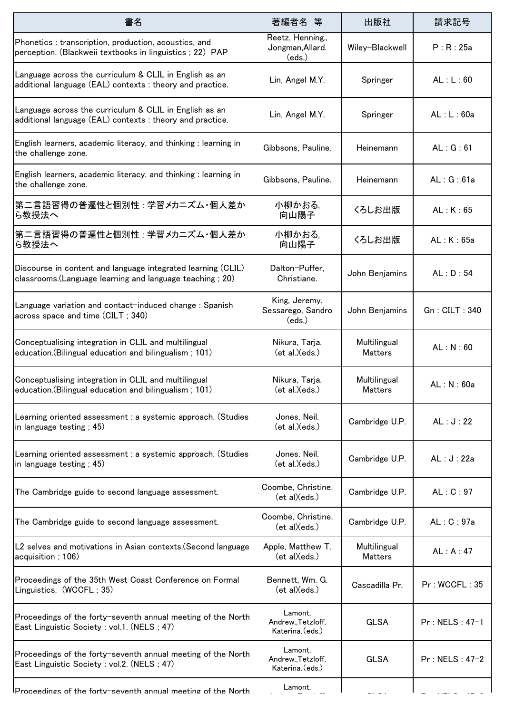| 書名                                                                                                                        | 著編者名 等                                            | 出版社                            | 請求記号             |
|---------------------------------------------------------------------------------------------------------------------------|---------------------------------------------------|--------------------------------|------------------|
| Phonetics: transcription, production, acoustics, and<br>perception. (Blackweii textbooks in linguistics; 22) PAP          | Reetz, Henning.,<br>Jongman, Allard.<br>(eds.)    | Wiley-Blackwell                | P: R: 25a        |
| Language across the curriculum & CLIL in English as an<br>additional language (EAL) contexts : theory and practice.       | Lin, Angel M.Y.                                   | Springer                       | AL: L: 60        |
| Language across the curriculum & CLIL in English as an<br>additional language (EAL) contexts : theory and practice.       | Lin, Angel M.Y.                                   | Springer                       | AL: L: 60a       |
| English learners, academic literacy, and thinking : learning in<br>the challenge zone.                                    | Gibbsons, Pauline.                                | Heinemann                      | AL: G: 61        |
| English learners, academic literacy, and thinking : learning in<br>the challenge zone.                                    | Gibbsons, Pauline.                                | Heinemann                      | AL: G: 61a       |
| 第二言語習得の普遍性と個別性:学習メカニズム・個人差か<br>ら教授法へ                                                                                      | 小柳かおる,<br>向山陽子                                    | くろしお出版                         | AL: K: 65        |
| 第二言語習得の普遍性と個別性:学習メカニズム・個人差か<br>ら教授法へ                                                                                      | 小柳かおる,<br>向山陽子                                    | くろしお出版                         | AL: K: 65a       |
| Discourse in content and language integrated learning (CLIL)<br>classrooms. (Language learning and language teaching; 20) | Dalton-Puffer,<br>Christiane.                     | John Benjamins                 | AL: D: 54        |
| Language variation and contact-induced change: Spanish<br>across space and time (CILT; 340)                               | King, Jeremy.<br>Sessarego, Sandro<br>(eds.)      | John Benjamins                 | Gn: CILT: 340    |
| Conceptualising integration in CLIL and multilingual<br>education. (Bilingual education and bilingualism; 101)            | Nikura, Tarja.<br>ect al.)(eds.)                  | Multilingual<br><b>Matters</b> | AL: N: 60        |
| Conceptualising integration in CLIL and multilingual<br>education. (Bilingual education and bilingualism; 101)            | Nikura, Tarja.<br>ect al.)(eds.)                  | Multilingual<br><b>Matters</b> | AL: N: 60a       |
| Learning oriented assessment : a systemic approach. (Studies<br>in language testing; 45)                                  | Jones, Neil.<br>ect al.)(eds.)                    | Cambridge U.P.                 | AL: J: 22        |
| Learning oriented assessment : a systemic approach. (Studies<br>in language testing; 45)                                  | Jones, Neil.<br>ect al.)(eds.)                    | Cambridge U.P.                 | AL: J: 22a       |
| The Cambridge guide to second language assessment.                                                                        | Coombe, Christine.<br>ect al)(eds.)               | Cambridge U.P.                 | AL: C: 97        |
| The Cambridge guide to second language assessment.                                                                        | Coombe, Christine.<br>ect al)(eds.)               | Cambridge U.P.                 | AL: C: 97a       |
| L2 selves and motivations in Asian contexts. (Second language<br>acquisition; 106)                                        | Apple, Matthew T.<br>ect al)(eds.)                | Multilingual<br><b>Matters</b> | AL: A: 47        |
| Proceedings of the 35th West Coast Conference on Formal<br>Linguistics. (WCCFL; 35)                                       | Bennett, Wm. G.<br>ect al)(eds.)                  | Cascadilla Pr.                 | Pr: WCCFL: 35    |
| Proceedings of the forty-seventh annual meeting of the North<br>East Linguistic Society: vol.1. (NELS; 47)                | Lamont.<br>Andrew., Tetzloff,<br>Katerina. (eds.) | <b>GLSA</b>                    | $Pr: NELS: 47-1$ |
| Proceedings of the forty-seventh annual meeting of the North<br>East Linguistic Society : vol.2. (NELS ; 47)              | Lamont.<br>Andrew., Tetzloff,<br>Katerina. (eds.) | <b>GLSA</b>                    | Pr: NELS: 47-2   |
| $\sf{IProceedings}$ of the fortv-seventh annual meeting of the North $\sf{I}$                                             | Lamont.                                           |                                |                  |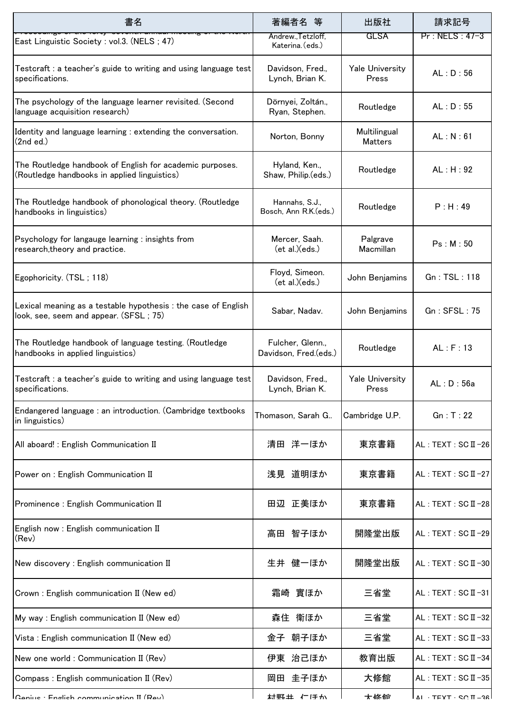| 書名                                                                                                       | 著編者名<br>等                                 | 出版社                             | 請求記号                                       |
|----------------------------------------------------------------------------------------------------------|-------------------------------------------|---------------------------------|--------------------------------------------|
| East Linguistic Society : vol.3. (NELS ; 47)                                                             | Andrew., Tetzloff,<br>Katerina. (eds.)    | <b>GLSA</b>                     | Pr: NELS: 47-3                             |
| Testcraft : a teacher's guide to writing and using language test<br>specifications.                      | Davidson, Fred.,<br>Lynch, Brian K.       | <b>Yale University</b><br>Press | AL: D: 56                                  |
| The psychology of the language learner revisited. (Second<br>language acquisition research)              | Dörnyei, Zoltán.,<br>Ryan, Stephen.       | Routledge                       | AL: D: 55                                  |
| Identity and language learning : extending the conversation.<br>(2nd ed.)                                | Norton, Bonny                             | Multilingual<br><b>Matters</b>  | AL: N: 61                                  |
| The Routledge handbook of English for academic purposes.<br>(Routledge handbooks in applied linguistics) | Hyland, Ken.,<br>Shaw, Philip.(eds.)      | Routledge                       | AL : H : 92                                |
| The Routledge handbook of phonological theory. (Routledge<br>handbooks in linguistics)                   | Hannahs, S.J.,<br>Bosch, Ann R.K.(eds.)   | Routledge                       | P : H : 49                                 |
| Psychology for langauge learning : insights from<br>research, theory and practice.                       | Mercer, Saah.<br>ect al.)(eds.)           | Palgrave<br>Macmillan           | Ps: M: 50                                  |
| Egophoricity. (TSL; 118)                                                                                 | Floyd, Simeon.<br>ect al.)(eds.)          | John Benjamins                  | Gn: TSL: 118                               |
| Lexical meaning as a testable hypothesis : the case of English<br>look, see, seem and appear. (SFSL; 75) | Sabar, Nadav.                             | John Benjamins                  | Gn : SFSL : 75                             |
| The Routledge handbook of language testing. (Routledge<br>handbooks in applied linguistics)              | Fulcher, Glenn.,<br>Davidson, Fred.(eds.) | Routledge                       | AL : F : 13                                |
| Testcraft : a teacher's guide to writing and using language test<br>specifications.                      | Davidson, Fred.,<br>Lynch, Brian K.       | Yale University<br>Press        | AL: D: 56a                                 |
| Endangered language : an introduction. (Cambridge textbooks<br>in linguistics)                           | Thomason, Sarah G                         | Cambridge U.P.                  | Gn : T : 22                                |
| All aboard! : English Communication II                                                                   | 清田 洋一ほか                                   | 東京書籍                            | $AL: TEXT: SC II -26$                      |
| Power on : English Communication II                                                                      | 浅見 道明ほか                                   | 東京書籍                            | $AL: TEXT: SC II -27$                      |
| Prominence : English Communication II                                                                    | 田辺 正美ほか                                   | 東京書籍                            | AL: TEXT: SC II-28                         |
| English now : English communication II<br>(Rev)                                                          | 高田 智子ほか                                   | 開隆堂出版                           | AL: TEXT: SCII-29                          |
| New discovery : English communication II                                                                 | 生井 健一ほか                                   | 開隆堂出版                           | AL : TEXT : SC II-30                       |
| Crown: English communication II (New ed)                                                                 | 霜崎 實ほか                                    | 三省堂                             | AL: TEXT: SC II-31                         |
| My way : English communication II (New ed)                                                               | 森住 衛ほか                                    | 三省堂                             | $AL: TEXT: SC II -32$                      |
| Vista: English communication II (New ed)                                                                 | 金子 朝子ほか                                   | 三省堂                             | AL: TEXT: SCII-33                          |
| New one world: Communication II (Rev)                                                                    | 伊東 治己ほか                                   | 教育出版                            | AL: TEXT: SCII-34                          |
| Compass : English communication II (Rev)                                                                 | 岡田 圭子ほか                                   | 大修館                             | $AL: TEXT: SC II -35$                      |
| Capius : English communication II (Dav)                                                                  | 材照土 仁ほか                                   | 士修命                             | $\vert$ $\Lambda$ I · TEYT · CO $\pi$ - 26 |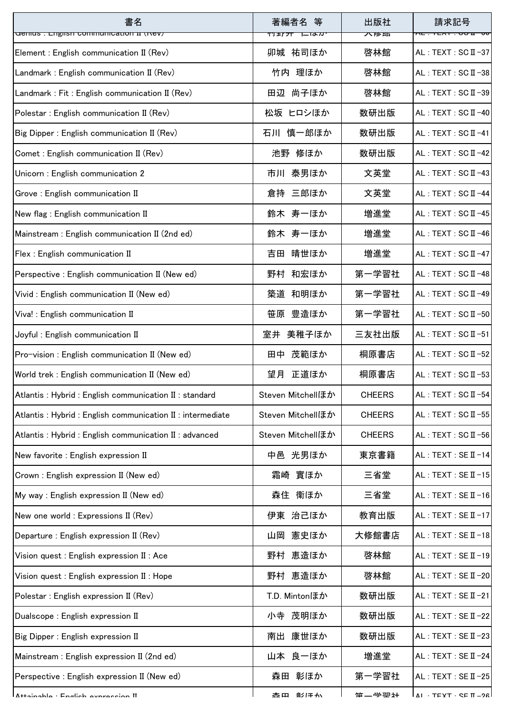| 書名<br>denius . English communication if (riev)           | 著編者名<br>等<br>—ारु $\pi$<br>TJ ±∫' <b></b> JT | 出版社<br>不下西    | 請求記号                     |
|----------------------------------------------------------|----------------------------------------------|---------------|--------------------------|
| Element : English communication II (Rev)                 | 卯城 祐司ほか                                      | 啓林館           | $AL: TEXT: SC II -37$    |
| Landmark: English communication II (Rev)                 | 竹内 理ほか                                       | 啓林館           | AL: TEXT: SC II-38       |
| Landmark: Fit: English communication II (Rev)            | 尚子ほか<br>田辺                                   | 啓林館           | AL: TEXT: SC II-39       |
| Polestar: English communication II (Rev)                 | 松坂 ヒロシほか                                     | 数研出版          | AL: TEXT: SC II-40       |
| Big Dipper: English communication II (Rev)               | 石川 慎一郎ほか                                     | 数研出版          | $AL: TEXT: SC II -41$    |
| Comet : English communication II (Rev)                   | 池野 修ほか                                       | 数研出版          | $AL: TEXT: SC II -42$    |
| Unicorn: English communication 2                         | 市川 泰男ほか                                      | 文英堂           | AL : TEXT : SC $II -43$  |
| Grove: English communication II                          | 倉持 三郎ほか                                      | 文英堂           | AL: TEXT: SC II-44       |
| New flag: English communication II                       | 鈴木 寿一ほか                                      | 増進堂           | $AL: TEXT: SC II -45$    |
| Mainstream: English communication II (2nd ed)            | 鈴木 寿一ほか                                      | 増進堂           | $AL: TEXT: SC II -46$    |
| Flex : English communication II                          | 晴世ほか<br>吉田                                   | 増進堂           | $AL: TEXT: SC II -47$    |
| Perspective: English communication II (New ed)           | 野村 和宏ほか                                      | 第一学習社         | AL: TEXT: SC II-48       |
| Vivid : English communication II (New ed)                | 築道 和明ほか                                      | 第一学習社         | AL: TEXT: SC II-49       |
| Viva! : English communication II                         | 笹原 豊造ほか                                      | 第一学習社         | AL: TEXT: SC II-50       |
| Joyful: English communication II                         | 室井 美稚子ほか                                     | 三友社出版         | $AL: TEXT: SC II -51$    |
| Pro-vision : English communication II (New ed)           | 田中 茂範ほか                                      | 桐原書店          | AL: TEXT: SC II-52       |
| World trek: English communication II (New ed)            | 正道ほか<br>望月                                   | 桐原書店          | AL: TEXT: SC II-53       |
| Atlantis: Hybrid: English communication II: standard     | Steven Mitchellほか                            | <b>CHEERS</b> | AL : TEXT : SC $II - 54$ |
| Atlantis: Hybrid: English communication II: intermediate | Steven Mitchellほか                            | <b>CHEERS</b> | $AL: TEXT: SC II -55$    |
| Atlantis: Hybrid: English communication II: advanced     | Steven Mitchellほか                            | <b>CHEERS</b> | $AL: TEXT: SC II -56$    |
| New favorite : English expression II                     | 中邑 光男ほか                                      | 東京書籍          | $AL: TEXT: SE II -14$    |
| Crown: English expression II (New ed)                    | 霜崎 實ほか                                       | 三省堂           | $AL: TEXT: SE II -15$    |
| My way : English expression II (New ed)                  | 森住 衛ほか                                       | 三省堂           | $AL: TEXT: SE II -16$    |
| New one world : Expressions II (Rev)                     | 伊東 治己ほか                                      | 教育出版          | $AL: TEXT: SE II -17$    |
| Departure: English expression II (Rev)                   | 山岡 憲史ほか                                      | 大修館書店         | $AL: TEXT: SE II -18$    |
| Vision quest : English expression II : Ace               | 恵造ほか<br>野村                                   | 啓林館           | $AL: TEXT: SE II -19$    |
| Vision quest : English expression II : Hope              | 野村 恵造ほか                                      | 啓林館           | $AL: TEXT: SE II -20$    |
| Polestar: English expression II (Rev)                    | T.D. Mintonほか                                | 数研出版          | $AL: TEXT: SE II -21$    |
| Dualscope: English expression II                         | 小寺 茂明ほか                                      | 数研出版          | $AL: TEXT: SE II -22$    |
| Big Dipper: English expression II                        | 康世ほか<br>南出                                   | 数研出版          | $AL: TEXT: SE II -23$    |
| Mainstream: English expression II (2nd ed)               | 山本 良一ほか                                      | 増進堂           | $AL: TEXT: SE II -24$    |
| Perspective : English expression II (New ed)             | 彰ほか<br>森田                                    | 第一学習社         | AL : TEXT : SE $II - 25$ |
| Attainahla · Englich avnraccion II                       | 部/エイ<br>杰田                                   | 第一学翌社         | IΔI·TFYT·SFΠ-2R          |